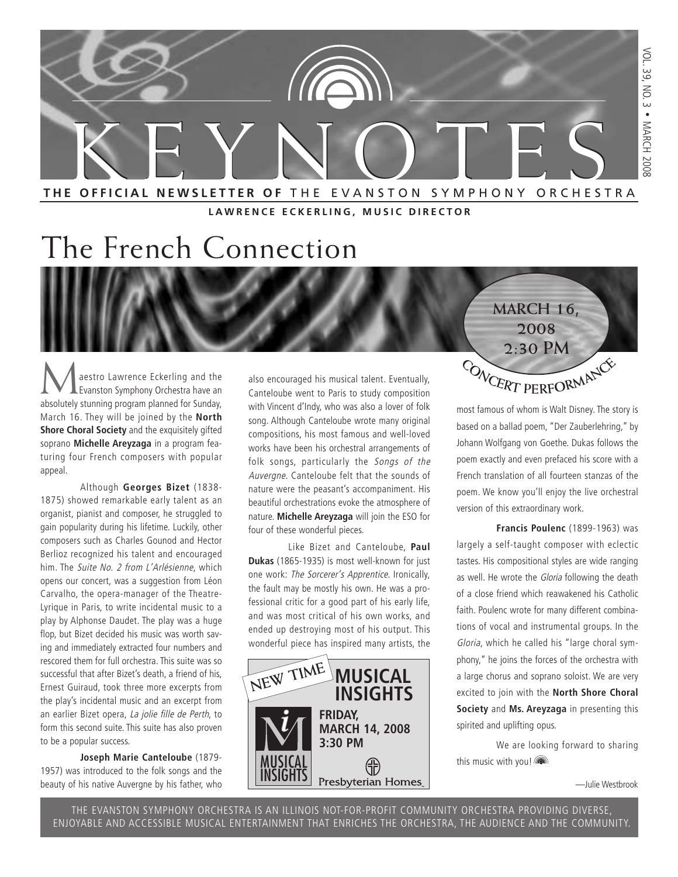

**LAWRENCE ECKERLING, MUSIC DIRECTOR**

# The French Connection

**Maestro Lawrence Eckerling and the Evanston Symphony Orchestra have an** absolutely stunning program planned for Sunday, March 16. They will be joined by the **North Shore Choral Society** and the exquisitely gifted soprano **Michelle Areyzaga** in a program featuring four French composers with popular appeal.

Although **Georges Bizet** (1838- 1875) showed remarkable early talent as an organist, pianist and composer, he struggled to gain popularity during his lifetime. Luckily, other composers such as Charles Gounod and Hector Berlioz recognized his talent and encouraged him. The Suite No. 2 from L'Arlésienne, which opens our concert, was a suggestion from Léon Carvalho, the opera-manager of the Theatre-Lyrique in Paris, to write incidental music to a play by Alphonse Daudet. The play was a huge flop, but Bizet decided his music was worth saving and immediately extracted four numbers and rescored them for full orchestra. This suite was so successful that after Bizet's death, a friend of his, Ernest Guiraud, took three more excerpts from the play's incidental music and an excerpt from an earlier Bizet opera, La jolie fille de Perth, to form this second suite. This suite has also proven to be a popular success.

#### **Joseph Marie Canteloube** (1879-

1957) was introduced to the folk songs and the beauty of his native Auvergne by his father, who also encouraged his musical talent. Eventually, Canteloube went to Paris to study composition with Vincent d'Indy, who was also a lover of folk song. Although Canteloube wrote many original compositions, his most famous and well-loved works have been his orchestral arrangements of folk songs, particularly the Songs of the Auvergne. Canteloube felt that the sounds of nature were the peasant's accompaniment. His beautiful orchestrations evoke the atmosphere of nature. **Michelle Areyzaga** will join the ESO for four of these wonderful pieces.

Like Bizet and Canteloube, **Paul Dukas** (1865-1935) is most well-known for just one work: The Sorcerer's Apprentice. Ironically, the fault may be mostly his own. He was a professional critic for a good part of his early life, and was most critical of his own works, and ended up destroying most of his output. This wonderful piece has inspired many artists, the



most famous of whom is Walt Disney. The story is based on a ballad poem, "Der Zauberlehring," by Johann Wolfgang von Goethe. Dukas follows the poem exactly and even prefaced his score with a French translation of all fourteen stanzas of the poem. We know you'll enjoy the live orchestral  $C$  **O NCERT PERFORMANCE** 

**MARCH 16, 2008 2:30 PM**

version of this extraordinary work.

**Francis Poulenc** (1899-1963) was largely a self-taught composer with eclectic tastes. His compositional styles are wide ranging as well. He wrote the Gloria following the death of a close friend which reawakened his Catholic faith. Poulenc wrote for many different combinations of vocal and instrumental groups. In the Gloria, which he called his "large choral symphony," he joins the forces of the orchestra with a large chorus and soprano soloist. We are very excited to join with the **North Shore Choral Society** and **Ms. Areyzaga** in presenting this spirited and uplifting opus.

We are looking forward to sharing this music with you!

—Julie Westbrook

THE EVANSTON SYMPHONY ORCHESTRA IS AN ILLINOIS NOT-FOR-PROFIT COMMUNITY ORCHESTRA PROVIDING DIVERSE, ENJOYABLE AND ACCESSIBLE MUSICAL ENTERTAINMENT THAT ENRICHES THE ORCHESTRA, THE AUDIENCE AND THE COMMUNITY.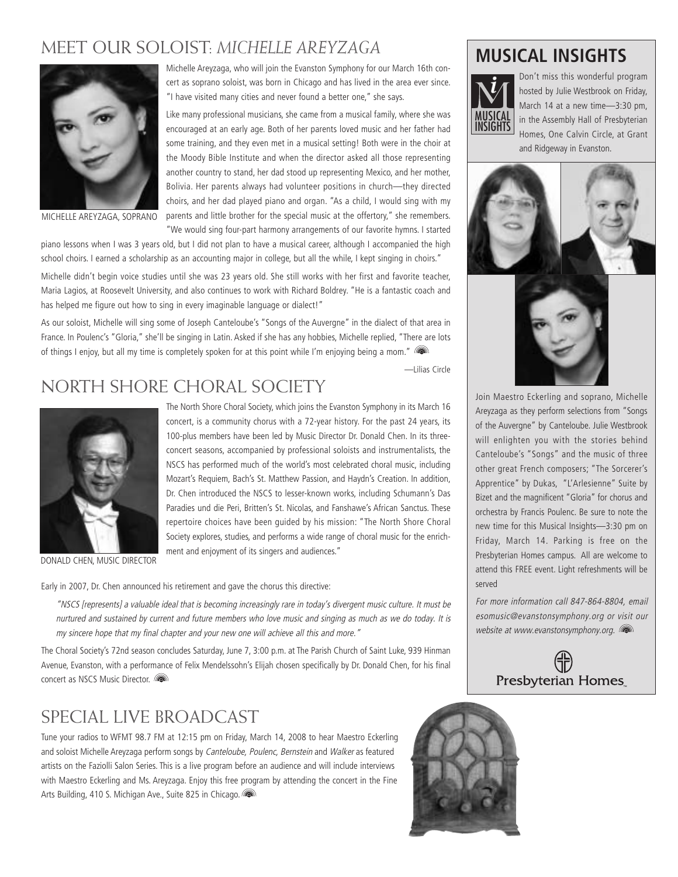#### MEET OUR SOLOIST: *MICHELLE AREYZAGA*



MICHELLE AREYZAGA, SOPRANO

Michelle Areyzaga, who will join the Evanston Symphony for our March 16th concert as soprano soloist, was born in Chicago and has lived in the area ever since. "I have visited many cities and never found a better one," she says.

Like many professional musicians, she came from a musical family, where she was encouraged at an early age. Both of her parents loved music and her father had some training, and they even met in a musical setting! Both were in the choir at the Moody Bible Institute and when the director asked all those representing another country to stand, her dad stood up representing Mexico, and her mother, Bolivia. Her parents always had volunteer positions in church—they directed choirs, and her dad played piano and organ. "As a child, I would sing with my parents and little brother for the special music at the offertory," she remembers. "We would sing four-part harmony arrangements of our favorite hymns. I started

piano lessons when I was 3 years old, but I did not plan to have a musical career, although I accompanied the high school choirs. I earned a scholarship as an accounting major in college, but all the while, I kept singing in choirs."

Michelle didn't begin voice studies until she was 23 years old. She still works with her first and favorite teacher, Maria Lagios, at Roosevelt University, and also continues to work with Richard Boldrey. "He is a fantastic coach and has helped me figure out how to sing in every imaginable language or dialect!"

As our soloist, Michelle will sing some of Joseph Canteloube's "Songs of the Auvergne" in the dialect of that area in France. In Poulenc's "Gloria," she'll be singing in Latin. Asked if she has any hobbies, Michelle replied, "There are lots of things I enjoy, but all my time is completely spoken for at this point while I'm enjoying being a mom."

—Lilias Circle

### NORTH SHORE CHORAL SOCIETY



DONALD CHEN, MUSIC DIRECTOR

The North Shore Choral Society, which joins the Evanston Symphony in its March 16 concert, is a community chorus with a 72-year history. For the past 24 years, its 100-plus members have been led by Music Director Dr. Donald Chen. In its threeconcert seasons, accompanied by professional soloists and instrumentalists, the NSCS has performed much of the world's most celebrated choral music, including Mozart's Requiem, Bach's St. Matthew Passion, and Haydn's Creation. In addition, Dr. Chen introduced the NSCS to lesser-known works, including Schumann's Das Paradies und die Peri, Britten's St. Nicolas, and Fanshawe's African Sanctus. These repertoire choices have been guided by his mission: "The North Shore Choral Society explores, studies, and performs a wide range of choral music for the enrichment and enjoyment of its singers and audiences."

Early in 2007, Dr. Chen announced his retirement and gave the chorus this directive:

"NSCS [represents] a valuable ideal that is becoming increasingly rare in today's divergent music culture. It must be nurtured and sustained by current and future members who love music and singing as much as we do today. It is my sincere hope that my final chapter and your new one will achieve all this and more."

The Choral Society's 72nd season concludes Saturday, June 7, 3:00 p.m. at The Parish Church of Saint Luke, 939 Hinman Avenue, Evanston, with a performance of Felix Mendelssohn's Elijah chosen specifically by Dr. Donald Chen, for his final concert as NSCS Music Director.

#### SPECIAL LIVE BROADCAST

Tune your radios to WFMT 98.7 FM at 12:15 pm on Friday, March 14, 2008 to hear Maestro Eckerling and soloist Michelle Areyzaga perform songs by Canteloube, Poulenc, Bernstein and Walker as featured artists on the Faziolli Salon Series. This is a live program before an audience and will include interviews with Maestro Eckerling and Ms. Areyzaga. Enjoy this free program by attending the concert in the Fine Arts Building, 410 S. Michigan Ave., Suite 825 in Chicago.

#### **MUSICAL INSIGHTS**



Don't miss this wonderful program hosted by Julie Westbrook on Friday, March 14 at a new time—3:30 pm, in the Assembly Hall of Presbyterian Homes, One Calvin Circle, at Grant and Ridgeway in Evanston.



Join Maestro Eckerling and soprano, Michelle Areyzaga as they perform selections from "Songs of the Auvergne" by Canteloube. Julie Westbrook will enlighten you with the stories behind Canteloube's "Songs" and the music of three other great French composers; "The Sorcerer's Apprentice" by Dukas, "L'Arlesienne" Suite by Bizet and the magnificent "Gloria" for chorus and orchestra by Francis Poulenc. Be sure to note the new time for this Musical Insights—3:30 pm on Friday, March 14. Parking is free on the Presbyterian Homes campus. All are welcome to attend this FREE event. Light refreshments will be served

For more information call 847-864-8804, email esomusic@evanstonsymphony.org or visit our website at www.evanstonsymphony.org. (a)



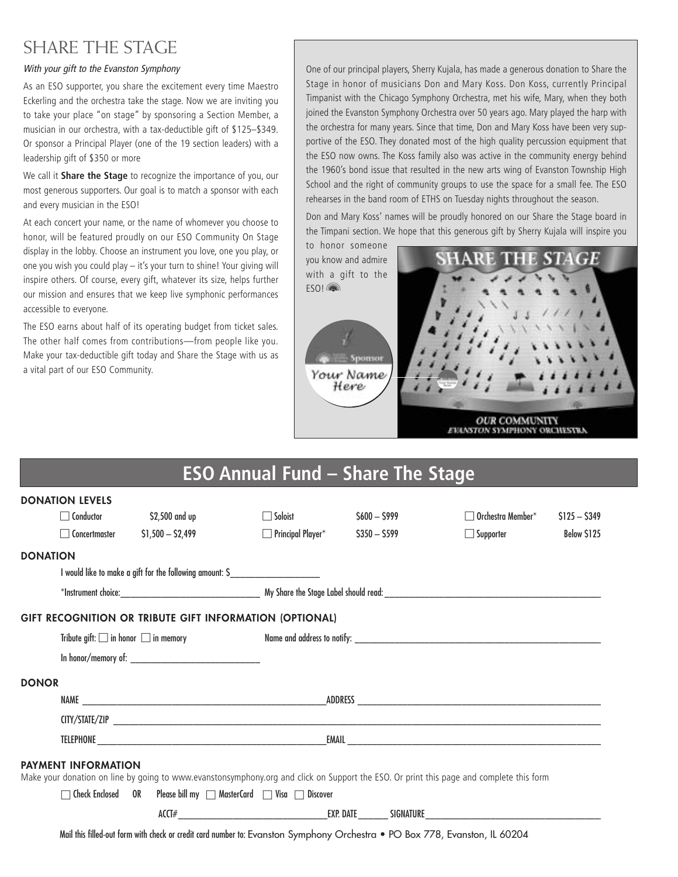#### SHARE THE STAGE

#### With your gift to the Evanston Symphony

As an ESO supporter, you share the excitement every time Maestro Eckerling and the orchestra take the stage. Now we are inviting you to take your place "on stage" by sponsoring a Section Member, a musician in our orchestra, with a tax-deductible gift of \$125–\$349. Or sponsor a Principal Player (one of the 19 section leaders) with a leadership gift of \$350 or more

We call it **Share the Stage** to recognize the importance of you, our most generous supporters. Our goal is to match a sponsor with each and every musician in the ESO!

At each concert your name, or the name of whomever you choose to honor, will be featured proudly on our ESO Community On Stage display in the lobby. Choose an instrument you love, one you play, or one you wish you could play – it's your turn to shine! Your giving will inspire others. Of course, every gift, whatever its size, helps further our mission and ensures that we keep live symphonic performances accessible to everyone.

The ESO earns about half of its operating budget from ticket sales. The other half comes from contributions—from people like you. Make your tax-deductible gift today and Share the Stage with us as a vital part of our ESO Community.

**DONATION LEVELS**

One of our principal players, Sherry Kujala, has made a generous donation to Share the Stage in honor of musicians Don and Mary Koss. Don Koss, currently Principal Timpanist with the Chicago Symphony Orchestra, met his wife, Mary, when they both joined the Evanston Symphony Orchestra over 50 years ago. Mary played the harp with the orchestra for many years. Since that time, Don and Mary Koss have been very supportive of the ESO. They donated most of the high quality percussion equipment that the ESO now owns. The Koss family also was active in the community energy behind the 1960's bond issue that resulted in the new arts wing of Evanston Township High School and the right of community groups to use the space for a small fee. The ESO rehearses in the band room of ETHS on Tuesday nights throughout the season.

Don and Mary Koss' names will be proudly honored on our Share the Stage board in the Timpani section. We hope that this generous gift by Sherry Kujala will inspire you



### **ESO Annual Fund – Share The Stage**

| DUINAIIUN LLVLLJ           |                                                          |                                                                                              |               |                                                                                                                                         |               |  |  |
|----------------------------|----------------------------------------------------------|----------------------------------------------------------------------------------------------|---------------|-----------------------------------------------------------------------------------------------------------------------------------------|---------------|--|--|
| $\Box$ Conductor           | \$2,500 and up                                           | $\Box$ Soloist                                                                               | $$600 - $999$ | $\Box$ Orchestra Member $^*$                                                                                                            | $$125 - $349$ |  |  |
| Concertmaster              | $$1,500 - $2,499$                                        | $\Box$ Principal Player* $$350 - $599$                                                       |               | Supporter                                                                                                                               | Below \$125   |  |  |
| DONATION                   |                                                          |                                                                                              |               |                                                                                                                                         |               |  |  |
|                            | I would like to make a gift for the following amount: \$ |                                                                                              |               |                                                                                                                                         |               |  |  |
|                            |                                                          |                                                                                              |               |                                                                                                                                         |               |  |  |
|                            |                                                          | GIFT RECOGNITION OR TRIBUTE GIFT INFORMATION (OPTIONAL)                                      |               |                                                                                                                                         |               |  |  |
|                            |                                                          |                                                                                              |               |                                                                                                                                         |               |  |  |
|                            |                                                          |                                                                                              |               |                                                                                                                                         |               |  |  |
| <b>DONOR</b>               |                                                          |                                                                                              |               |                                                                                                                                         |               |  |  |
|                            |                                                          |                                                                                              |               |                                                                                                                                         |               |  |  |
|                            |                                                          |                                                                                              |               |                                                                                                                                         |               |  |  |
|                            |                                                          |                                                                                              |               |                                                                                                                                         |               |  |  |
| <b>PAYMENT INFORMATION</b> |                                                          |                                                                                              |               |                                                                                                                                         |               |  |  |
|                            |                                                          |                                                                                              |               | Make your donation on line by going to www.evanstonsymphony.org and click on Support the ESO. Or print this page and complete this form |               |  |  |
|                            |                                                          | $\Box$ Check Enclosed $\Box$ OR Please bill my $\Box$ MasterCard $\Box$ Visa $\Box$ Discover |               |                                                                                                                                         |               |  |  |
|                            |                                                          |                                                                                              |               |                                                                                                                                         |               |  |  |
|                            |                                                          | المممن السابق المستقدم المشاري الماليا التاريني التاريني                                     |               |                                                                                                                                         |               |  |  |

Mail this filled-out form with check or credit card number to: Evanston Symphony Orchestra • PO Box 778, Evanston, IL 60204